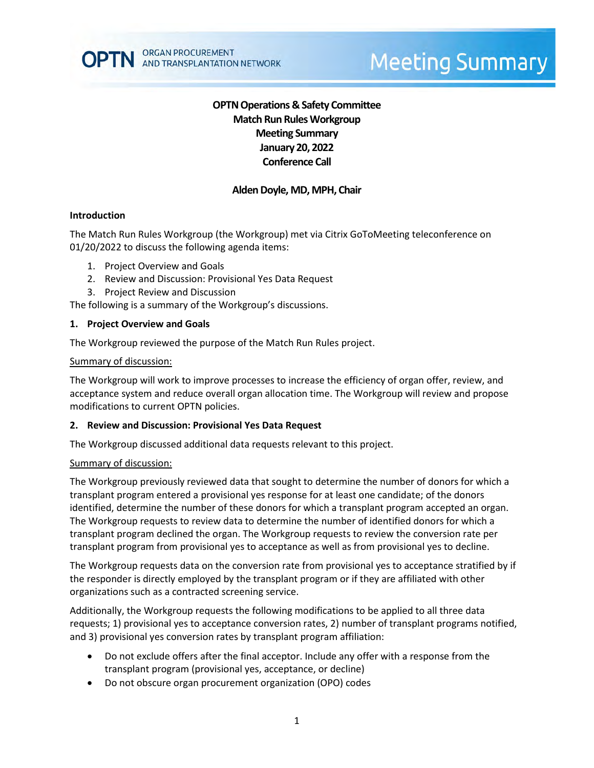# **OPTN Operations & Safety Committee Match Run RulesWorkgroup Meeting Summary January 20, 2022 Conference Call**

## **Alden Doyle, MD, MPH, Chair**

#### **Introduction**

The Match Run Rules Workgroup (the Workgroup) met via Citrix GoToMeeting teleconference on 01/20/2022 to discuss the following agenda items:

- 1. Project Overview and Goals
- 2. Review and Discussion: Provisional Yes Data Request
- 3. Project Review and Discussion

The following is a summary of the Workgroup's discussions.

#### **1. Project Overview and Goals**

The Workgroup reviewed the purpose of the Match Run Rules project.

#### Summary of discussion:

The Workgroup will work to improve processes to increase the efficiency of organ offer, review, and acceptance system and reduce overall organ allocation time. The Workgroup will review and propose modifications to current OPTN policies.

## **2. Review and Discussion: Provisional Yes Data Request**

The Workgroup discussed additional data requests relevant to this project.

#### Summary of discussion:

The Workgroup previously reviewed data that sought to determine the number of donors for which a transplant program entered a provisional yes response for at least one candidate; of the donors identified, determine the number of these donors for which a transplant program accepted an organ. The Workgroup requests to review data to determine the number of identified donors for which a transplant program declined the organ. The Workgroup requests to review the conversion rate per transplant program from provisional yes to acceptance as well as from provisional yes to decline.

The Workgroup requests data on the conversion rate from provisional yes to acceptance stratified by if the responder is directly employed by the transplant program or if they are affiliated with other organizations such as a contracted screening service.

Additionally, the Workgroup requests the following modifications to be applied to all three data requests; 1) provisional yes to acceptance conversion rates, 2) number of transplant programs notified, and 3) provisional yes conversion rates by transplant program affiliation:

- Do not exclude offers after the final acceptor. Include any offer with a response from the transplant program (provisional yes, acceptance, or decline)
- Do not obscure organ procurement organization (OPO) codes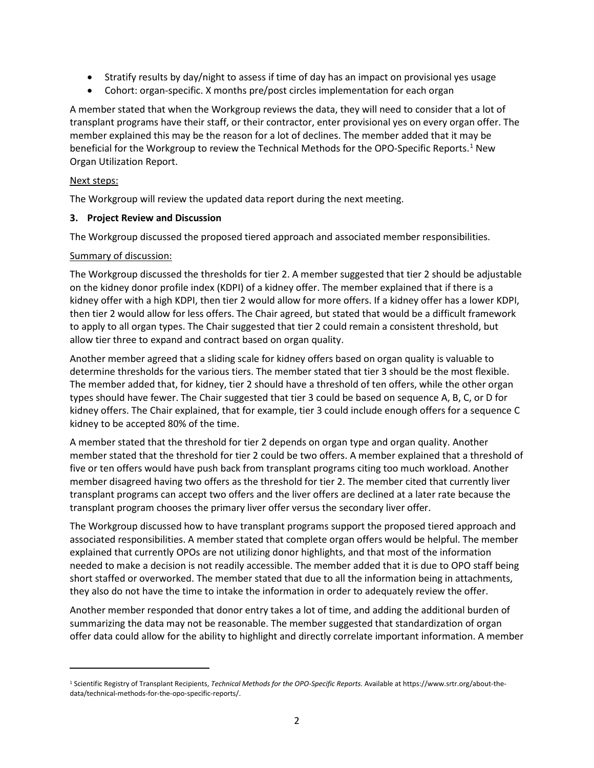- Stratify results by day/night to assess if time of day has an impact on provisional yes usage
- Cohort: organ-specific. X months pre/post circles implementation for each organ

A member stated that when the Workgroup reviews the data, they will need to consider that a lot of transplant programs have their staff, or their contractor, enter provisional yes on every organ offer. The member explained this may be the reason for a lot of declines. The member added that it may be beneficial for the Workgroup to review the Technical Methods for the OPO-Specific Reports.<sup>1</sup> New Organ Utilization Report.

## Next steps:

 $\overline{\phantom{a}}$ 

The Workgroup will review the updated data report during the next meeting.

## **3. Project Review and Discussion**

The Workgroup discussed the proposed tiered approach and associated member responsibilities.

#### Summary of discussion:

The Workgroup discussed the thresholds for tier 2. A member suggested that tier 2 should be adjustable on the kidney donor profile index (KDPI) of a kidney offer. The member explained that if there is a kidney offer with a high KDPI, then tier 2 would allow for more offers. If a kidney offer has a lower KDPI, then tier 2 would allow for less offers. The Chair agreed, but stated that would be a difficult framework to apply to all organ types. The Chair suggested that tier 2 could remain a consistent threshold, but allow tier three to expand and contract based on organ quality.

Another member agreed that a sliding scale for kidney offers based on organ quality is valuable to determine thresholds for the various tiers. The member stated that tier 3 should be the most flexible. The member added that, for kidney, tier 2 should have a threshold of ten offers, while the other organ types should have fewer. The Chair suggested that tier 3 could be based on sequence A, B, C, or D for kidney offers. The Chair explained, that for example, tier 3 could include enough offers for a sequence C kidney to be accepted 80% of the time.

A member stated that the threshold for tier 2 depends on organ type and organ quality. Another member stated that the threshold for tier 2 could be two offers. A member explained that a threshold of five or ten offers would have push back from transplant programs citing too much workload. Another member disagreed having two offers as the threshold for tier 2. The member cited that currently liver transplant programs can accept two offers and the liver offers are declined at a later rate because the transplant program chooses the primary liver offer versus the secondary liver offer.

The Workgroup discussed how to have transplant programs support the proposed tiered approach and associated responsibilities. A member stated that complete organ offers would be helpful. The member explained that currently OPOs are not utilizing donor highlights, and that most of the information needed to make a decision is not readily accessible. The member added that it is due to OPO staff being short staffed or overworked. The member stated that due to all the information being in attachments, they also do not have the time to intake the information in order to adequately review the offer.

Another member responded that donor entry takes a lot of time, and adding the additional burden of summarizing the data may not be reasonable. The member suggested that standardization of organ offer data could allow for the ability to highlight and directly correlate important information. A member

<span id="page-1-0"></span><sup>1</sup> Scientific Registry of Transplant Recipients, *Technical Methods for the OPO-Specific Reports.* Available at https://www.srtr.org/about-thedata/technical-methods-for-the-opo-specific-reports/.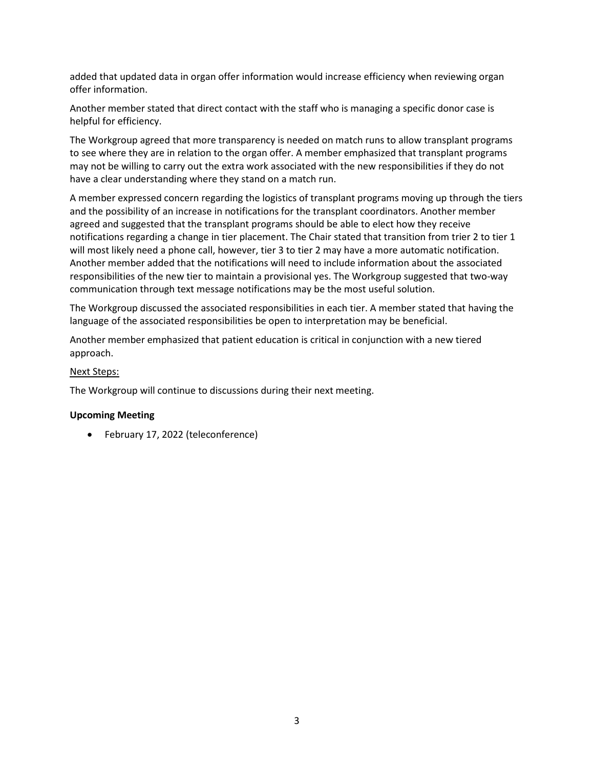added that updated data in organ offer information would increase efficiency when reviewing organ offer information.

Another member stated that direct contact with the staff who is managing a specific donor case is helpful for efficiency.

The Workgroup agreed that more transparency is needed on match runs to allow transplant programs to see where they are in relation to the organ offer. A member emphasized that transplant programs may not be willing to carry out the extra work associated with the new responsibilities if they do not have a clear understanding where they stand on a match run.

A member expressed concern regarding the logistics of transplant programs moving up through the tiers and the possibility of an increase in notifications for the transplant coordinators. Another member agreed and suggested that the transplant programs should be able to elect how they receive notifications regarding a change in tier placement. The Chair stated that transition from trier 2 to tier 1 will most likely need a phone call, however, tier 3 to tier 2 may have a more automatic notification. Another member added that the notifications will need to include information about the associated responsibilities of the new tier to maintain a provisional yes. The Workgroup suggested that two-way communication through text message notifications may be the most useful solution.

The Workgroup discussed the associated responsibilities in each tier. A member stated that having the language of the associated responsibilities be open to interpretation may be beneficial.

Another member emphasized that patient education is critical in conjunction with a new tiered approach.

## Next Steps:

The Workgroup will continue to discussions during their next meeting.

## **Upcoming Meeting**

• February 17, 2022 (teleconference)